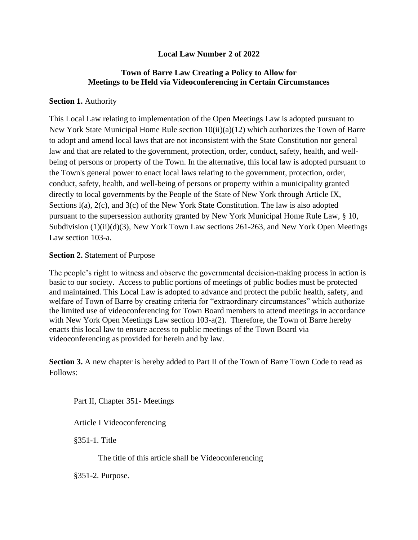# **Local Law Number 2 of 2022**

## **Town of Barre Law Creating a Policy to Allow for Meetings to be Held via Videoconferencing in Certain Circumstances**

## **Section 1. Authority**

This Local Law relating to implementation of the Open Meetings Law is adopted pursuant to New York State Municipal Home Rule section  $10(ii)(a)(12)$  which authorizes the Town of Barre to adopt and amend local laws that are not inconsistent with the State Constitution nor general law and that are related to the government, protection, order, conduct, safety, health, and wellbeing of persons or property of the Town. In the alternative, this local law is adopted pursuant to the Town's general power to enact local laws relating to the government, protection, order, conduct, safety, health, and well-being of persons or property within a municipality granted directly to local governments by the People of the State of New York through Article IX, Sections  $l(a)$ ,  $2(c)$ , and  $3(c)$  of the New York State Constitution. The law is also adopted pursuant to the supersession authority granted by New York Municipal Home Rule Law, § 10, Subdivision (1)(ii)(d)(3), New York Town Law sections 261-263, and New York Open Meetings Law section 103-a.

### **Section 2.** Statement of Purpose

The people's right to witness and observe the governmental decision-making process in action is basic to our society. Access to public portions of meetings of public bodies must be protected and maintained. This Local Law is adopted to advance and protect the public health, safety, and welfare of Town of Barre by creating criteria for "extraordinary circumstances" which authorize the limited use of videoconferencing for Town Board members to attend meetings in accordance with New York Open Meetings Law section 103-a(2). Therefore, the Town of Barre hereby enacts this local law to ensure access to public meetings of the Town Board via videoconferencing as provided for herein and by law.

**Section 3.** A new chapter is hereby added to Part II of the Town of Barre Town Code to read as Follows:

Part II, Chapter 351- Meetings

Article I Videoconferencing

§351-1. Title

The title of this article shall be Videoconferencing

§351-2. Purpose.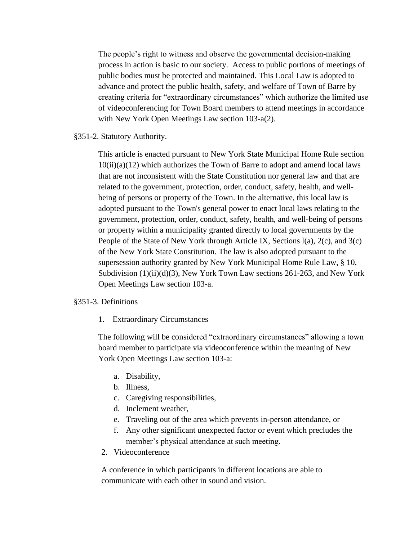The people's right to witness and observe the governmental decision-making process in action is basic to our society. Access to public portions of meetings of public bodies must be protected and maintained. This Local Law is adopted to advance and protect the public health, safety, and welfare of Town of Barre by creating criteria for "extraordinary circumstances" which authorize the limited use of videoconferencing for Town Board members to attend meetings in accordance with New York Open Meetings Law section 103-a(2).

§351-2. Statutory Authority.

This article is enacted pursuant to New York State Municipal Home Rule section  $10(ii)(a)(12)$  which authorizes the Town of Barre to adopt and amend local laws that are not inconsistent with the State Constitution nor general law and that are related to the government, protection, order, conduct, safety, health, and wellbeing of persons or property of the Town. In the alternative, this local law is adopted pursuant to the Town's general power to enact local laws relating to the government, protection, order, conduct, safety, health, and well-being of persons or property within a municipality granted directly to local governments by the People of the State of New York through Article IX, Sections l(a), 2(c), and 3(c) of the New York State Constitution. The law is also adopted pursuant to the supersession authority granted by New York Municipal Home Rule Law, § 10, Subdivision  $(1)(ii)(d)(3)$ , New York Town Law sections 261-263, and New York Open Meetings Law section 103-a.

#### §351-3. Definitions

1. Extraordinary Circumstances

The following will be considered "extraordinary circumstances" allowing a town board member to participate via videoconference within the meaning of New York Open Meetings Law section 103-a:

- a. Disability,
- b. Illness,
- c. Caregiving responsibilities,
- d. Inclement weather,
- e. Traveling out of the area which prevents in-person attendance, or
- f. Any other significant unexpected factor or event which precludes the member's physical attendance at such meeting.
- 2. Videoconference

A conference in which participants in different locations are able to communicate with each other in sound and vision.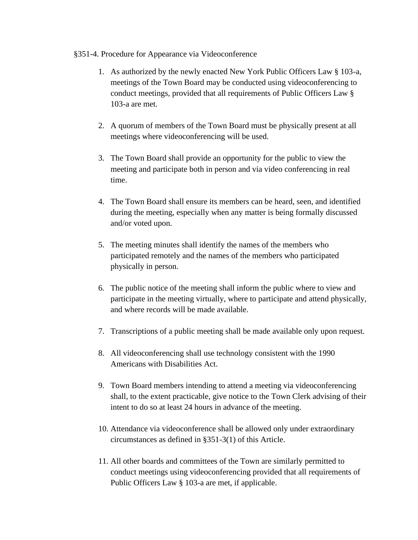#### §351-4. Procedure for Appearance via Videoconference

- 1. As authorized by the newly enacted New York Public Officers Law § 103-a, meetings of the Town Board may be conducted using videoconferencing to conduct meetings, provided that all requirements of Public Officers Law § 103-a are met.
- 2. A quorum of members of the Town Board must be physically present at all meetings where videoconferencing will be used.
- 3. The Town Board shall provide an opportunity for the public to view the meeting and participate both in person and via video conferencing in real time.
- 4. The Town Board shall ensure its members can be heard, seen, and identified during the meeting, especially when any matter is being formally discussed and/or voted upon.
- 5. The meeting minutes shall identify the names of the members who participated remotely and the names of the members who participated physically in person.
- 6. The public notice of the meeting shall inform the public where to view and participate in the meeting virtually, where to participate and attend physically, and where records will be made available.
- 7. Transcriptions of a public meeting shall be made available only upon request.
- 8. All videoconferencing shall use technology consistent with the 1990 Americans with Disabilities Act.
- 9. Town Board members intending to attend a meeting via videoconferencing shall, to the extent practicable, give notice to the Town Clerk advising of their intent to do so at least 24 hours in advance of the meeting.
- 10. Attendance via videoconference shall be allowed only under extraordinary circumstances as defined in §351-3(1) of this Article.
- 11. All other boards and committees of the Town are similarly permitted to conduct meetings using videoconferencing provided that all requirements of Public Officers Law § 103-a are met, if applicable.